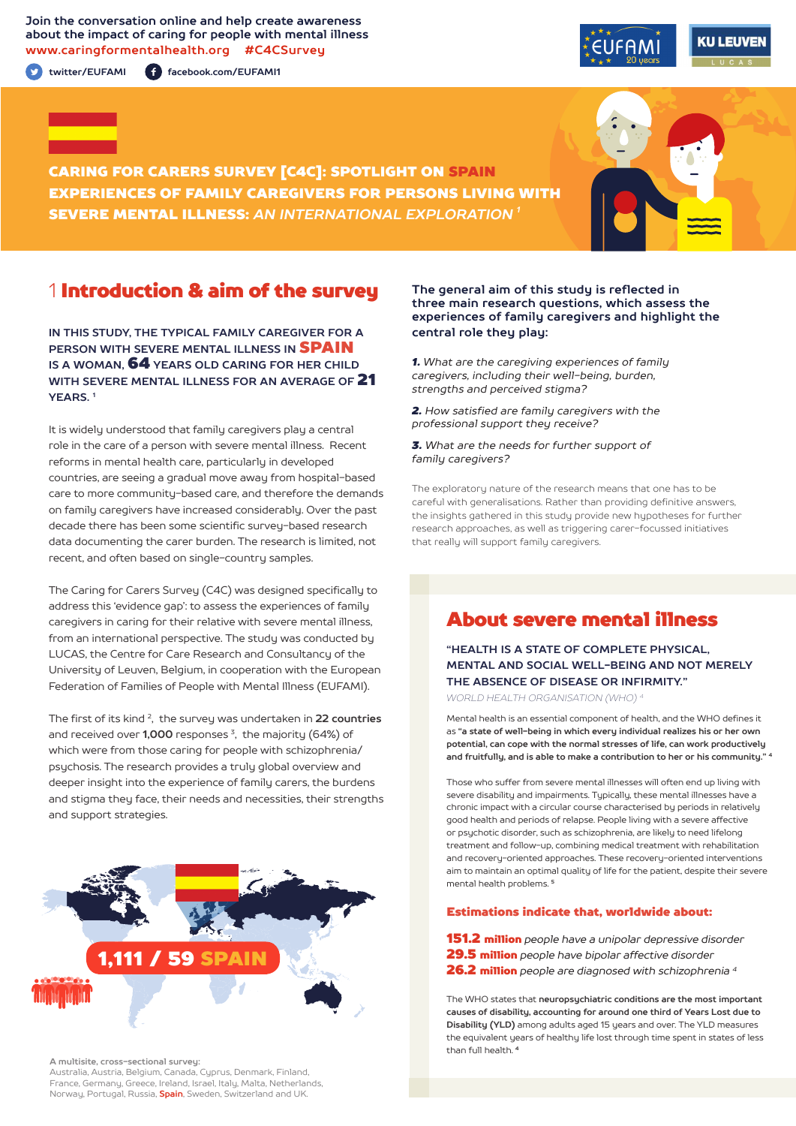**Join the conversation online and help create awareness about the impact of caring for people with mental illness www.caringformentalhealth.org #C4CSurvey**

**twitter/EUFAMI facebook.com/EUFAMI1**





CARING FOR CARERS SURVEY [C4C]: SPOTLIGHT ON SPAIN EXPERIENCES OF FAMILY CAREGIVERS FOR PERSONS LIVING WITH SEVERE MENTAL ILLNESS: *AN INTERNATIONAL EXPLORATION 1*

## 1 Introduction & aim of the survey

**IN THIS STUDY, THE TYPICAL FAMILY CAREGIVER FOR A PERSON WITH SEVERE MENTAL ILLNESS IN** SPAIN **IS A WOMAN,** 64 **YEARS OLD CARING FOR HER CHILD WITH SEVERE MENTAL ILLNESS FOR AN AVERAGE OF** 21 **YEARS. 1**

It is widely understood that family caregivers play a central role in the care of a person with severe mental illness. Recent reforms in mental health care, particularly in developed countries, are seeing a gradual move away from hospital-based care to more community-based care, and therefore the demands on family caregivers have increased considerably. Over the past decade there has been some scientific survey-based research data documenting the carer burden. The research is limited, not recent, and often based on single-country samples.

The Caring for Carers Survey (C4C) was designed specifically to address this 'evidence gap': to assess the experiences of family caregivers in caring for their relative with severe mental illness, from an international perspective. The study was conducted by LUCAS, the Centre for Care Research and Consultancy of the University of Leuven, Belgium, in cooperation with the European Federation of Families of People with Mental Illness (EUFAMI).

The first of its kind 2, the survey was undertaken in **22 countries** and received over **1,000** responses 3, the majority (64%) of which were from those caring for people with schizophrenia/ psychosis. The research provides a truly global overview and deeper insight into the experience of family carers, the burdens and stigma they face, their needs and necessities, their strengths and support strategies.



#### **A multisite, cross-sectional survey:**

Australia, Austria, Belgium, Canada, Cyprus, Denmark, Finland, France, Germany, Greece, Ireland, Israel, Italy, Malta, Netherlands, Norway, Portugal, Russia, **Spain**, Sweden, Switzerland and UK.

#### **The general aim of this study is reflected in three main research questions, which assess the experiences of family caregivers and highlight the central role they play:**

*1. What are the caregiving experiences of family caregivers, including their well-being, burden, strengths and perceived stigma?*

*2. How satisfied are family caregivers with the professional support they receive?*

*3. What are the needs for further support of family caregivers?*

The exploratory nature of the research means that one has to be careful with generalisations. Rather than providing definitive answers, the insights gathered in this study provide new hypotheses for further research approaches, as well as triggering carer-focussed initiatives that really will support family caregivers.

## About severe mental illness

**"HEALTH IS A STATE OF COMPLETE PHYSICAL, MENTAL AND SOCIAL WELL-BEING AND NOT MERELY THE ABSENCE OF DISEASE OR INFIRMITY."**

*WORLD HEALTH ORGANISATION (WHO) 4*

Mental health is an essential component of health, and the WHO defines it as **"a state of well-being in which every individual realizes his or her own potential, can cope with the normal stresses of life, can work productively and fruitfully, and is able to make a contribution to her or his community." <sup>4</sup>**

Those who suffer from severe mental illnesses will often end up living with severe disability and impairments. Typically, these mental illnesses have a chronic impact with a circular course characterised by periods in relatively good health and periods of relapse. People living with a severe affective or psychotic disorder, such as schizophrenia, are likely to need lifelong treatment and follow-up, combining medical treatment with rehabilitation and recovery-oriented approaches. These recovery-oriented interventions aim to maintain an optimal quality of life for the patient, despite their severe mental health problems. **<sup>5</sup>**

#### Estimations indicate that, worldwide about:

151.2 million *people have a unipolar depressive disorder*  29.5 million *people have bipolar affective disorder*  26.2 million *people are diagnosed with schizophrenia 4*

The WHO states that **neuropsychiatric conditions are the most important causes of disability, accounting for around one third of Years Lost due to Disability (YLD)** among adults aged 15 years and over. The YLD measures the equivalent years of healthy life lost through time spent in states of less than full health. **<sup>4</sup>**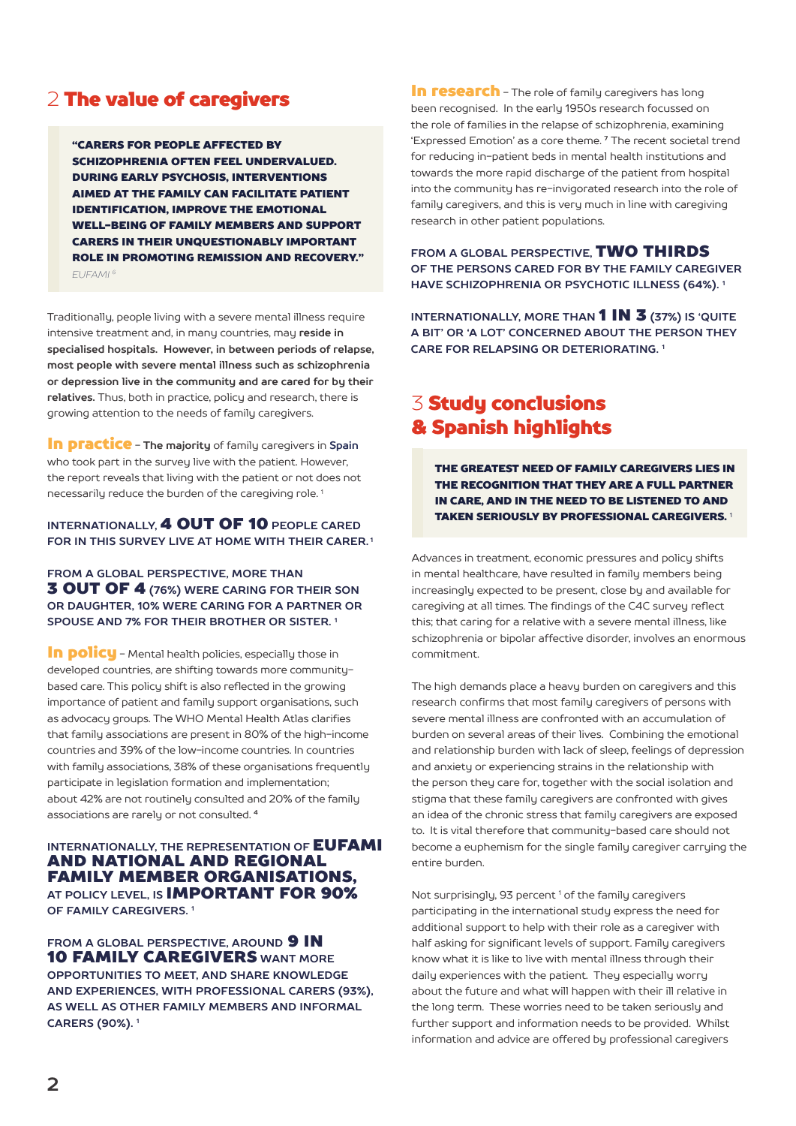## 2 The value of caregivers

"CARERS FOR PEOPLE AFFECTED BY SCHIZOPHRENIA OFTEN FEEL UNDERVALUED. DURING EARLY PSYCHOSIS, INTERVENTIONS AIMED AT THE FAMILY CAN FACILITATE PATIENT IDENTIFICATION, IMPROVE THE EMOTIONAL WELL-BEING OF FAMILY MEMBERS AND SUPPORT CARERS IN THEIR UNQUESTIONABLY IMPORTANT ROLE IN PROMOTING REMISSION AND RECOVERY." *EUFAMI 6*

Traditionally, people living with a severe mental illness require intensive treatment and, in many countries, may **reside in specialised hospitals. However, in between periods of relapse, most people with severe mental illness such as schizophrenia or depression live in the community and are cared for by their relatives.** Thus, both in practice, policy and research, there is growing attention to the needs of family caregivers.

In practice - **The majority** of family caregivers in **Spain** who took part in the survey live with the patient. However, the report reveals that living with the patient or not does not necessarily reduce the burden of the caregiving role. 1

#### **INTERNATIONALLY,** 4 OUT OF 10 **PEOPLE CARED FOR IN THIS SURVEY LIVE AT HOME WITH THEIR CARER. 1**

**FROM A GLOBAL PERSPECTIVE, MORE THAN** 3 OUT OF 4 **(76%) WERE CARING FOR THEIR SON OR DAUGHTER, 10% WERE CARING FOR A PARTNER OR SPOUSE AND 7% FOR THEIR BROTHER OR SISTER. 1**

In policu - Mental health policies, especially those in developed countries, are shifting towards more communitybased care. This policy shift is also reflected in the growing importance of patient and family support organisations, such as advocacy groups. The WHO Mental Health Atlas clarifies that family associations are present in 80% of the high-income countries and 39% of the low-income countries. In countries with family associations, 38% of these organisations frequently participate in legislation formation and implementation; about 42% are not routinely consulted and 20% of the family associations are rarely or not consulted. **<sup>4</sup>**

#### **INTERNATIONALLY, THE REPRESENTATION OF EUFAMI** AND NATIONAL AND REGIONAL FAMILY MEMBER ORGANISATIONS, **AT POLICY LEVEL, IS** IMPORTANT FOR 90% **OF FAMILY CAREGIVERS. 1**

**FROM A GLOBAL PERSPECTIVE. AROUND 9 IN** 10 FAMILY CAREGIVERS **WANT MORE OPPORTUNITIES TO MEET, AND SHARE KNOWLEDGE AND EXPERIENCES, WITH PROFESSIONAL CARERS (93%), AS WELL AS OTHER FAMILY MEMBERS AND INFORMAL CARERS (90%). 1**

In research - The role of family caregivers has long been recognised. In the early 1950s research focussed on the role of families in the relapse of schizophrenia, examining 'Expressed Emotion' as a core theme. **7** The recent societal trend for reducing in-patient beds in mental health institutions and towards the more rapid discharge of the patient from hospital into the community has re-invigorated research into the role of family caregivers, and this is very much in line with caregiving research in other patient populations.

**FROM A GLOBAL PERSPECTIVE,** TWO THIRDS **OF THE PERSONS CARED FOR BY THE FAMILY CAREGIVER HAVE SCHIZOPHRENIA OR PSYCHOTIC ILLNESS (64%). 1**

**INTERNATIONALLY, MORE THAN** 1 IN 3 **(37%) IS 'QUITE A BIT' OR 'A LOT' CONCERNED ABOUT THE PERSON THEY CARE FOR RELAPSING OR DETERIORATING. 1**

# 3 Study conclusions & Spanish highlights

THE GREATEST NEED OF FAMILY CAREGIVERS LIES IN THE RECOGNITION THAT THEY ARE A FULL PARTNER IN CARE, AND IN THE NEED TO BE LISTENED TO AND TAKEN SERIOUSLY BY PROFESSIONAL CAREGIVERS. <sup>1</sup>

Advances in treatment, economic pressures and policy shifts in mental healthcare, have resulted in family members being increasingly expected to be present, close by and available for caregiving at all times. The findings of the C4C survey reflect this; that caring for a relative with a severe mental illness, like schizophrenia or bipolar affective disorder, involves an enormous commitment.

The high demands place a heavy burden on caregivers and this research confirms that most family caregivers of persons with severe mental illness are confronted with an accumulation of burden on several areas of their lives. Combining the emotional and relationship burden with lack of sleep, feelings of depression and anxiety or experiencing strains in the relationship with the person they care for, together with the social isolation and stigma that these family caregivers are confronted with gives an idea of the chronic stress that family caregivers are exposed to. It is vital therefore that community-based care should not become a euphemism for the single family caregiver carrying the entire burden.

Not surprisingly, 93 percent<sup>1</sup> of the family caregivers participating in the international study express the need for additional support to help with their role as a caregiver with half asking for significant levels of support. Family caregivers know what it is like to live with mental illness through their daily experiences with the patient. They especially worry about the future and what will happen with their ill relative in the long term. These worries need to be taken seriously and further support and information needs to be provided. Whilst information and advice are offered by professional caregivers